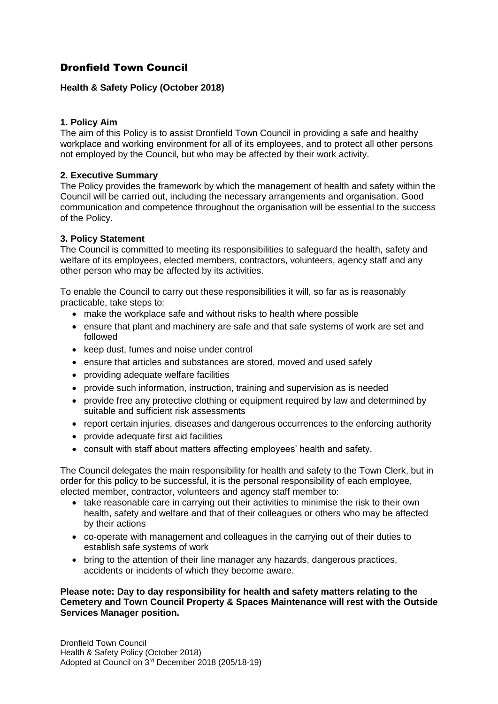# Dronfield Town Council

## **Health & Safety Policy (October 2018)**

## **1. Policy Aim**

The aim of this Policy is to assist Dronfield Town Council in providing a safe and healthy workplace and working environment for all of its employees, and to protect all other persons not employed by the Council, but who may be affected by their work activity.

## **2. Executive Summary**

The Policy provides the framework by which the management of health and safety within the Council will be carried out, including the necessary arrangements and organisation. Good communication and competence throughout the organisation will be essential to the success of the Policy.

## **3. Policy Statement**

The Council is committed to meeting its responsibilities to safeguard the health, safety and welfare of its employees, elected members, contractors, volunteers, agency staff and any other person who may be affected by its activities.

To enable the Council to carry out these responsibilities it will, so far as is reasonably practicable, take steps to:

- make the workplace safe and without risks to health where possible
- ensure that plant and machinery are safe and that safe systems of work are set and followed
- keep dust, fumes and noise under control
- ensure that articles and substances are stored, moved and used safely
- providing adequate welfare facilities
- provide such information, instruction, training and supervision as is needed
- provide free any protective clothing or equipment required by law and determined by suitable and sufficient risk assessments
- report certain injuries, diseases and dangerous occurrences to the enforcing authority
- provide adequate first aid facilities
- consult with staff about matters affecting employees' health and safety.

The Council delegates the main responsibility for health and safety to the Town Clerk, but in order for this policy to be successful, it is the personal responsibility of each employee, elected member, contractor, volunteers and agency staff member to:

- take reasonable care in carrying out their activities to minimise the risk to their own health, safety and welfare and that of their colleagues or others who may be affected by their actions
- co-operate with management and colleagues in the carrying out of their duties to establish safe systems of work
- bring to the attention of their line manager any hazards, dangerous practices, accidents or incidents of which they become aware.

#### **Please note: Day to day responsibility for health and safety matters relating to the Cemetery and Town Council Property & Spaces Maintenance will rest with the Outside Services Manager position.**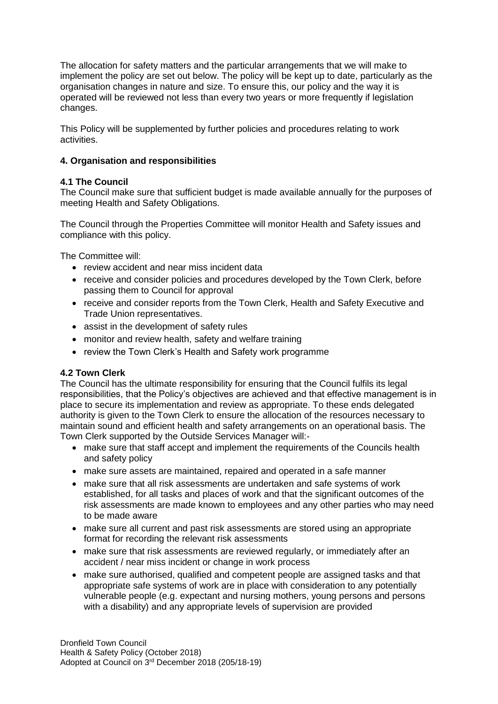The allocation for safety matters and the particular arrangements that we will make to implement the policy are set out below. The policy will be kept up to date, particularly as the organisation changes in nature and size. To ensure this, our policy and the way it is operated will be reviewed not less than every two years or more frequently if legislation changes.

This Policy will be supplemented by further policies and procedures relating to work activities.

## **4. Organisation and responsibilities**

## **4.1 The Council**

The Council make sure that sufficient budget is made available annually for the purposes of meeting Health and Safety Obligations.

The Council through the Properties Committee will monitor Health and Safety issues and compliance with this policy.

The Committee will:

- review accident and near miss incident data
- receive and consider policies and procedures developed by the Town Clerk, before passing them to Council for approval
- receive and consider reports from the Town Clerk, Health and Safety Executive and Trade Union representatives.
- assist in the development of safety rules
- monitor and review health, safety and welfare training
- review the Town Clerk's Health and Safety work programme

## **4.2 Town Clerk**

The Council has the ultimate responsibility for ensuring that the Council fulfils its legal responsibilities, that the Policy's objectives are achieved and that effective management is in place to secure its implementation and review as appropriate. To these ends delegated authority is given to the Town Clerk to ensure the allocation of the resources necessary to maintain sound and efficient health and safety arrangements on an operational basis. The Town Clerk supported by the Outside Services Manager will:-

- make sure that staff accept and implement the requirements of the Councils health and safety policy
- make sure assets are maintained, repaired and operated in a safe manner
- make sure that all risk assessments are undertaken and safe systems of work established, for all tasks and places of work and that the significant outcomes of the risk assessments are made known to employees and any other parties who may need to be made aware
- make sure all current and past risk assessments are stored using an appropriate format for recording the relevant risk assessments
- make sure that risk assessments are reviewed regularly, or immediately after an accident / near miss incident or change in work process
- make sure authorised, qualified and competent people are assigned tasks and that appropriate safe systems of work are in place with consideration to any potentially vulnerable people (e.g. expectant and nursing mothers, young persons and persons with a disability) and any appropriate levels of supervision are provided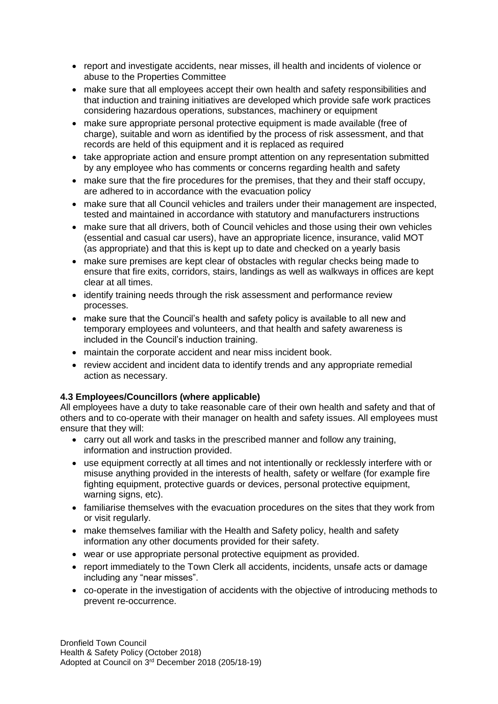- report and investigate accidents, near misses, ill health and incidents of violence or abuse to the Properties Committee
- make sure that all employees accept their own health and safety responsibilities and that induction and training initiatives are developed which provide safe work practices considering hazardous operations, substances, machinery or equipment
- make sure appropriate personal protective equipment is made available (free of charge), suitable and worn as identified by the process of risk assessment, and that records are held of this equipment and it is replaced as required
- take appropriate action and ensure prompt attention on any representation submitted by any employee who has comments or concerns regarding health and safety
- make sure that the fire procedures for the premises, that they and their staff occupy, are adhered to in accordance with the evacuation policy
- make sure that all Council vehicles and trailers under their management are inspected, tested and maintained in accordance with statutory and manufacturers instructions
- make sure that all drivers, both of Council vehicles and those using their own vehicles (essential and casual car users), have an appropriate licence, insurance, valid MOT (as appropriate) and that this is kept up to date and checked on a yearly basis
- make sure premises are kept clear of obstacles with regular checks being made to ensure that fire exits, corridors, stairs, landings as well as walkways in offices are kept clear at all times.
- identify training needs through the risk assessment and performance review processes.
- make sure that the Council's health and safety policy is available to all new and temporary employees and volunteers, and that health and safety awareness is included in the Council's induction training.
- maintain the corporate accident and near miss incident book.
- review accident and incident data to identify trends and any appropriate remedial action as necessary.

## **4.3 Employees/Councillors (where applicable)**

All employees have a duty to take reasonable care of their own health and safety and that of others and to co-operate with their manager on health and safety issues. All employees must ensure that they will:

- carry out all work and tasks in the prescribed manner and follow any training, information and instruction provided.
- use equipment correctly at all times and not intentionally or recklessly interfere with or misuse anything provided in the interests of health, safety or welfare (for example fire fighting equipment, protective guards or devices, personal protective equipment, warning signs, etc).
- familiarise themselves with the evacuation procedures on the sites that they work from or visit regularly.
- make themselves familiar with the Health and Safety policy, health and safety information any other documents provided for their safety.
- wear or use appropriate personal protective equipment as provided.
- report immediately to the Town Clerk all accidents, incidents, unsafe acts or damage including any "near misses".
- co-operate in the investigation of accidents with the objective of introducing methods to prevent re-occurrence.